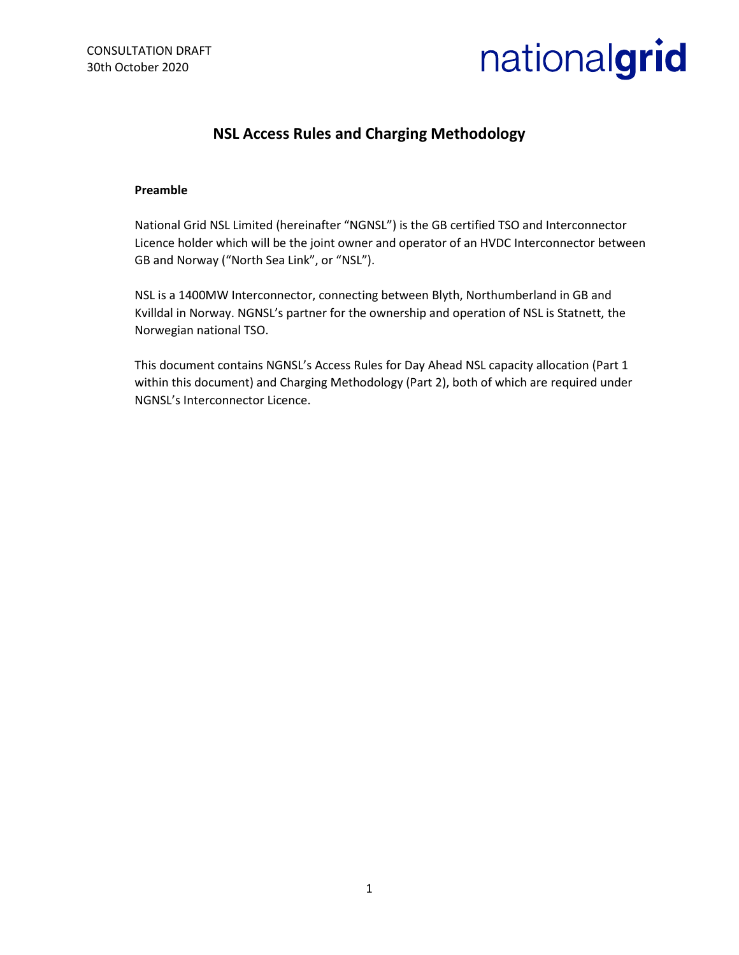

# **NSL Access Rules and Charging Methodology**

#### **Preamble**

National Grid NSL Limited (hereinafter "NGNSL") is the GB certified TSO and Interconnector Licence holder which will be the joint owner and operator of an HVDC Interconnector between GB and Norway ("North Sea Link", or "NSL").

NSL is a 1400MW Interconnector, connecting between Blyth, Northumberland in GB and Kvilldal in Norway. NGNSL's partner for the ownership and operation of NSL is Statnett, the Norwegian national TSO.

This document contains NGNSL's Access Rules for Day Ahead NSL capacity allocation (Part 1 within this document) and Charging Methodology (Part 2), both of which are required under NGNSL's Interconnector Licence.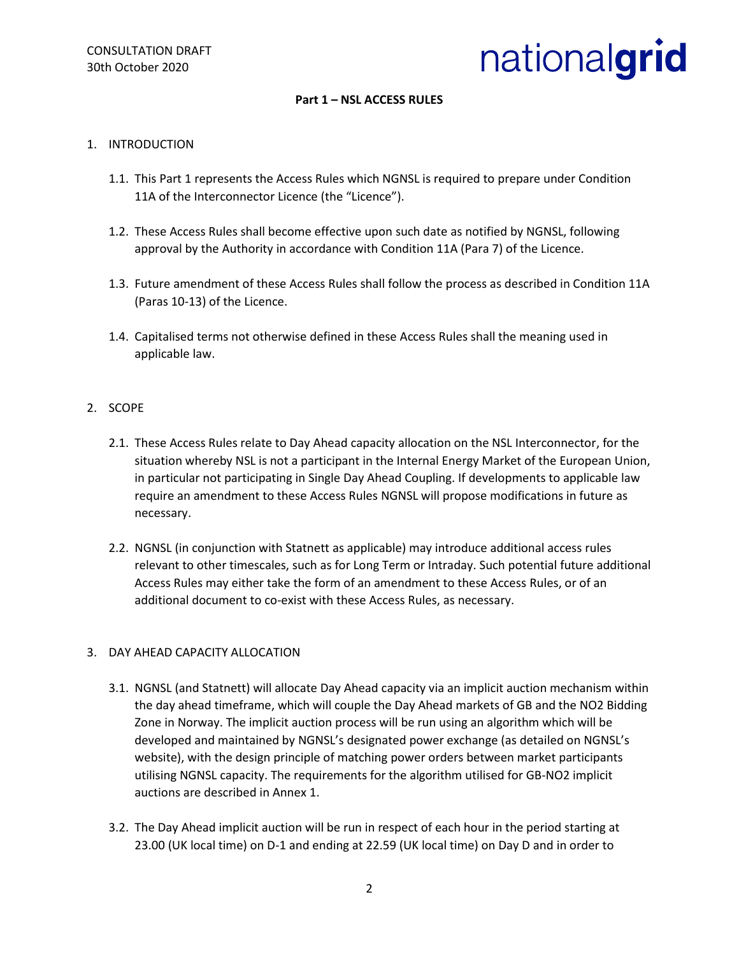

# **Part 1 – NSL ACCESS RULES**

#### 1. INTRODUCTION

- 1.1. This Part 1 represents the Access Rules which NGNSL is required to prepare under Condition 11A of the Interconnector Licence (the "Licence").
- 1.2. These Access Rules shall become effective upon such date as notified by NGNSL, following approval by the Authority in accordance with Condition 11A (Para 7) of the Licence.
- 1.3. Future amendment of these Access Rules shall follow the process as described in Condition 11A (Paras 10-13) of the Licence.
- 1.4. Capitalised terms not otherwise defined in these Access Rules shall the meaning used in applicable law.

#### 2. SCOPE

- 2.1. These Access Rules relate to Day Ahead capacity allocation on the NSL Interconnector, for the situation whereby NSL is not a participant in the Internal Energy Market of the European Union, in particular not participating in Single Day Ahead Coupling. If developments to applicable law require an amendment to these Access Rules NGNSL will propose modifications in future as necessary.
- 2.2. NGNSL (in conjunction with Statnett as applicable) may introduce additional access rules relevant to other timescales, such as for Long Term or Intraday. Such potential future additional Access Rules may either take the form of an amendment to these Access Rules, or of an additional document to co-exist with these Access Rules, as necessary.

#### 3. DAY AHEAD CAPACITY ALLOCATION

- 3.1. NGNSL (and Statnett) will allocate Day Ahead capacity via an implicit auction mechanism within the day ahead timeframe, which will couple the Day Ahead markets of GB and the NO2 Bidding Zone in Norway. The implicit auction process will be run using an algorithm which will be developed and maintained by NGNSL's designated power exchange (as detailed on NGNSL's website), with the design principle of matching power orders between market participants utilising NGNSL capacity. The requirements for the algorithm utilised for GB-NO2 implicit auctions are described in Annex 1.
- 3.2. The Day Ahead implicit auction will be run in respect of each hour in the period starting at 23.00 (UK local time) on D-1 and ending at 22.59 (UK local time) on Day D and in order to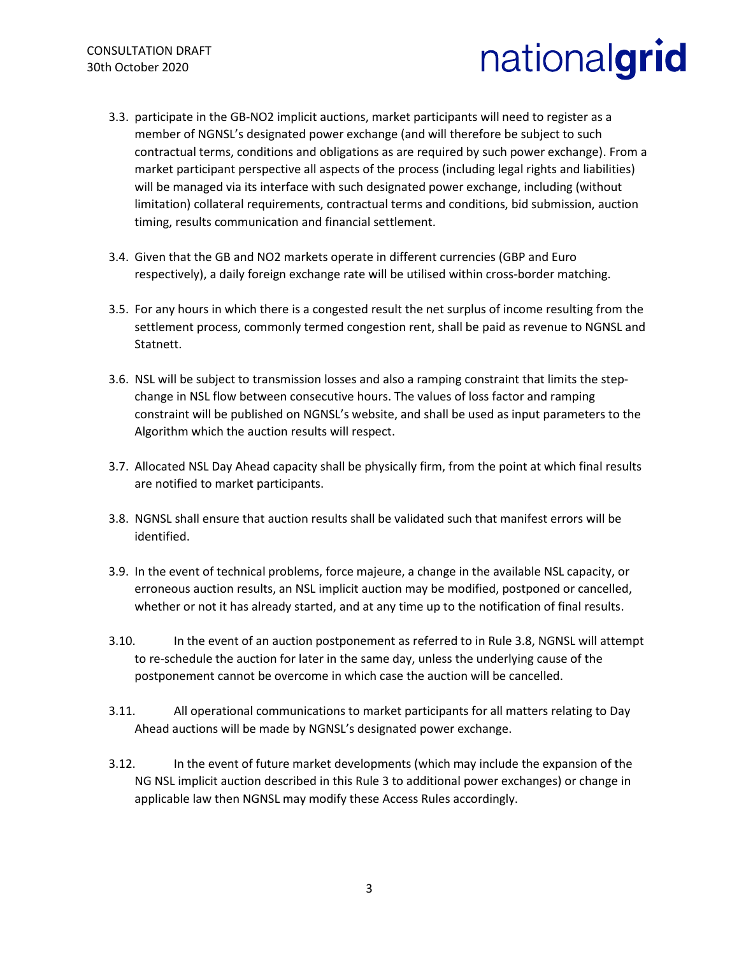- 3.3. participate in the GB-NO2 implicit auctions, market participants will need to register as a member of NGNSL's designated power exchange (and will therefore be subject to such contractual terms, conditions and obligations as are required by such power exchange). From a market participant perspective all aspects of the process (including legal rights and liabilities) will be managed via its interface with such designated power exchange, including (without limitation) collateral requirements, contractual terms and conditions, bid submission, auction timing, results communication and financial settlement.
- 3.4. Given that the GB and NO2 markets operate in different currencies (GBP and Euro respectively), a daily foreign exchange rate will be utilised within cross-border matching.
- 3.5. For any hours in which there is a congested result the net surplus of income resulting from the settlement process, commonly termed congestion rent, shall be paid as revenue to NGNSL and Statnett.
- 3.6. NSL will be subject to transmission losses and also a ramping constraint that limits the stepchange in NSL flow between consecutive hours. The values of loss factor and ramping constraint will be published on NGNSL's website, and shall be used as input parameters to the Algorithm which the auction results will respect.
- 3.7. Allocated NSL Day Ahead capacity shall be physically firm, from the point at which final results are notified to market participants.
- 3.8. NGNSL shall ensure that auction results shall be validated such that manifest errors will be identified.
- 3.9. In the event of technical problems, force majeure, a change in the available NSL capacity, or erroneous auction results, an NSL implicit auction may be modified, postponed or cancelled, whether or not it has already started, and at any time up to the notification of final results.
- 3.10. In the event of an auction postponement as referred to in Rule 3.8, NGNSL will attempt to re-schedule the auction for later in the same day, unless the underlying cause of the postponement cannot be overcome in which case the auction will be cancelled.
- 3.11. All operational communications to market participants for all matters relating to Day Ahead auctions will be made by NGNSL's designated power exchange.
- 3.12. In the event of future market developments (which may include the expansion of the NG NSL implicit auction described in this Rule 3 to additional power exchanges) or change in applicable law then NGNSL may modify these Access Rules accordingly.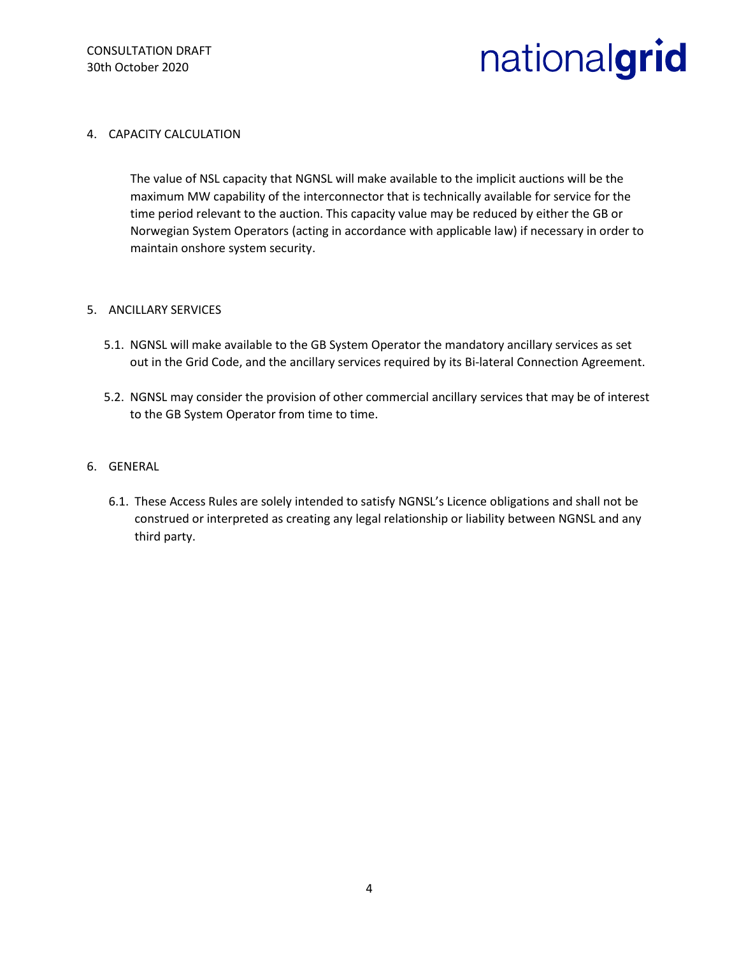### 4. CAPACITY CALCULATION

The value of NSL capacity that NGNSL will make available to the implicit auctions will be the maximum MW capability of the interconnector that is technically available for service for the time period relevant to the auction. This capacity value may be reduced by either the GB or Norwegian System Operators (acting in accordance with applicable law) if necessary in order to maintain onshore system security.

#### 5. ANCILLARY SERVICES

- 5.1. NGNSL will make available to the GB System Operator the mandatory ancillary services as set out in the Grid Code, and the ancillary services required by its Bi-lateral Connection Agreement.
- 5.2. NGNSL may consider the provision of other commercial ancillary services that may be of interest to the GB System Operator from time to time.

## 6. GENERAL

6.1. These Access Rules are solely intended to satisfy NGNSL's Licence obligations and shall not be construed or interpreted as creating any legal relationship or liability between NGNSL and any third party.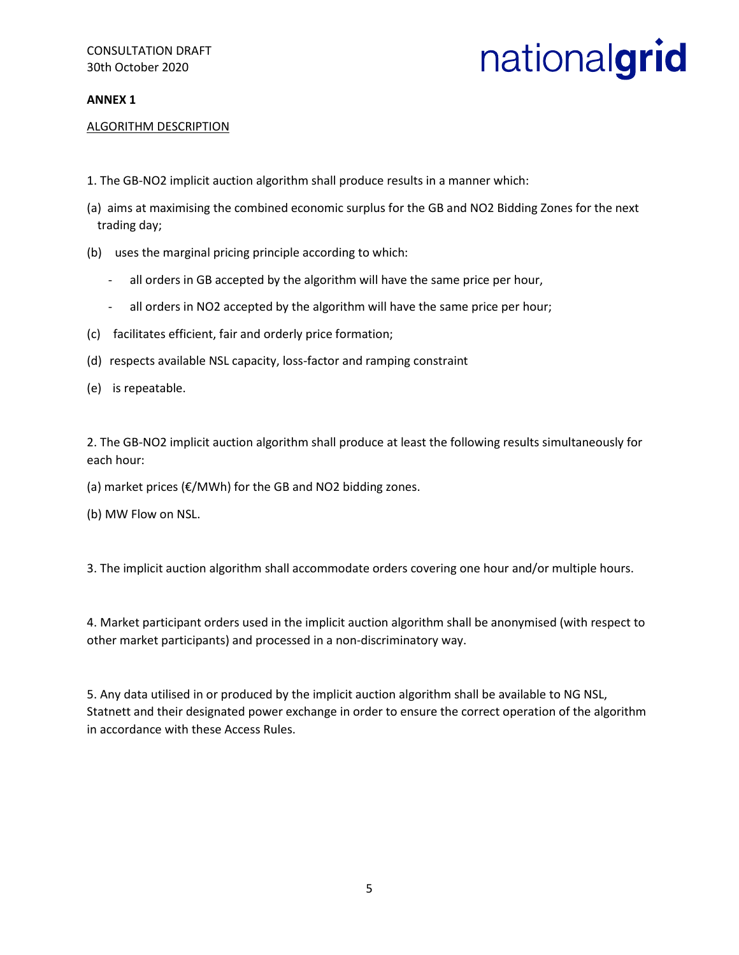# **ANNEX 1**

## ALGORITHM DESCRIPTION

- 1. The GB-NO2 implicit auction algorithm shall produce results in a manner which:
- (a) aims at maximising the combined economic surplus for the GB and NO2 Bidding Zones for the next trading day;
- (b) uses the marginal pricing principle according to which:
	- all orders in GB accepted by the algorithm will have the same price per hour,
	- all orders in NO2 accepted by the algorithm will have the same price per hour;
- (c) facilitates efficient, fair and orderly price formation;
- (d) respects available NSL capacity, loss-factor and ramping constraint
- (e) is repeatable.

2. The GB-NO2 implicit auction algorithm shall produce at least the following results simultaneously for each hour:

(a) market prices (€/MWh) for the GB and NO2 bidding zones.

(b) MW Flow on NSL.

3. The implicit auction algorithm shall accommodate orders covering one hour and/or multiple hours.

4. Market participant orders used in the implicit auction algorithm shall be anonymised (with respect to other market participants) and processed in a non-discriminatory way.

5. Any data utilised in or produced by the implicit auction algorithm shall be available to NG NSL, Statnett and their designated power exchange in order to ensure the correct operation of the algorithm in accordance with these Access Rules.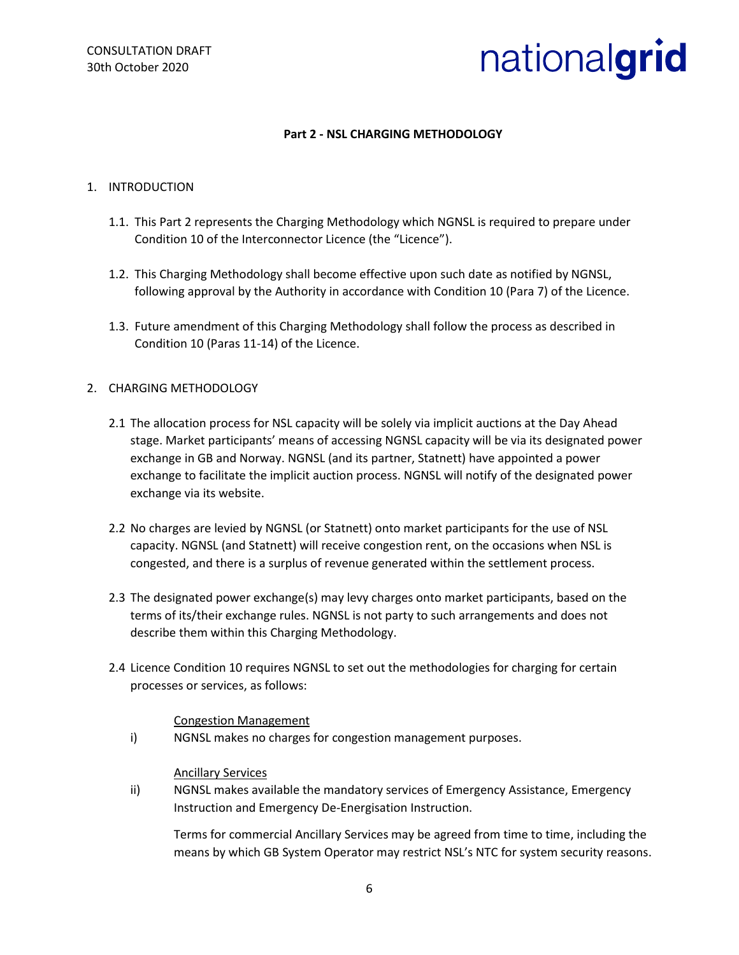# **Part 2 - NSL CHARGING METHODOLOGY**

## 1. INTRODUCTION

- 1.1. This Part 2 represents the Charging Methodology which NGNSL is required to prepare under Condition 10 of the Interconnector Licence (the "Licence").
- 1.2. This Charging Methodology shall become effective upon such date as notified by NGNSL, following approval by the Authority in accordance with Condition 10 (Para 7) of the Licence.
- 1.3. Future amendment of this Charging Methodology shall follow the process as described in Condition 10 (Paras 11-14) of the Licence.

## 2. CHARGING METHODOLOGY

- 2.1 The allocation process for NSL capacity will be solely via implicit auctions at the Day Ahead stage. Market participants' means of accessing NGNSL capacity will be via its designated power exchange in GB and Norway. NGNSL (and its partner, Statnett) have appointed a power exchange to facilitate the implicit auction process. NGNSL will notify of the designated power exchange via its website.
- 2.2 No charges are levied by NGNSL (or Statnett) onto market participants for the use of NSL capacity. NGNSL (and Statnett) will receive congestion rent, on the occasions when NSL is congested, and there is a surplus of revenue generated within the settlement process.
- 2.3 The designated power exchange(s) may levy charges onto market participants, based on the terms of its/their exchange rules. NGNSL is not party to such arrangements and does not describe them within this Charging Methodology.
- 2.4 Licence Condition 10 requires NGNSL to set out the methodologies for charging for certain processes or services, as follows:

#### Congestion Management

i) NGNSL makes no charges for congestion management purposes.

#### Ancillary Services

ii) NGNSL makes available the mandatory services of Emergency Assistance, Emergency Instruction and Emergency De-Energisation Instruction.

Terms for commercial Ancillary Services may be agreed from time to time, including the means by which GB System Operator may restrict NSL's NTC for system security reasons.